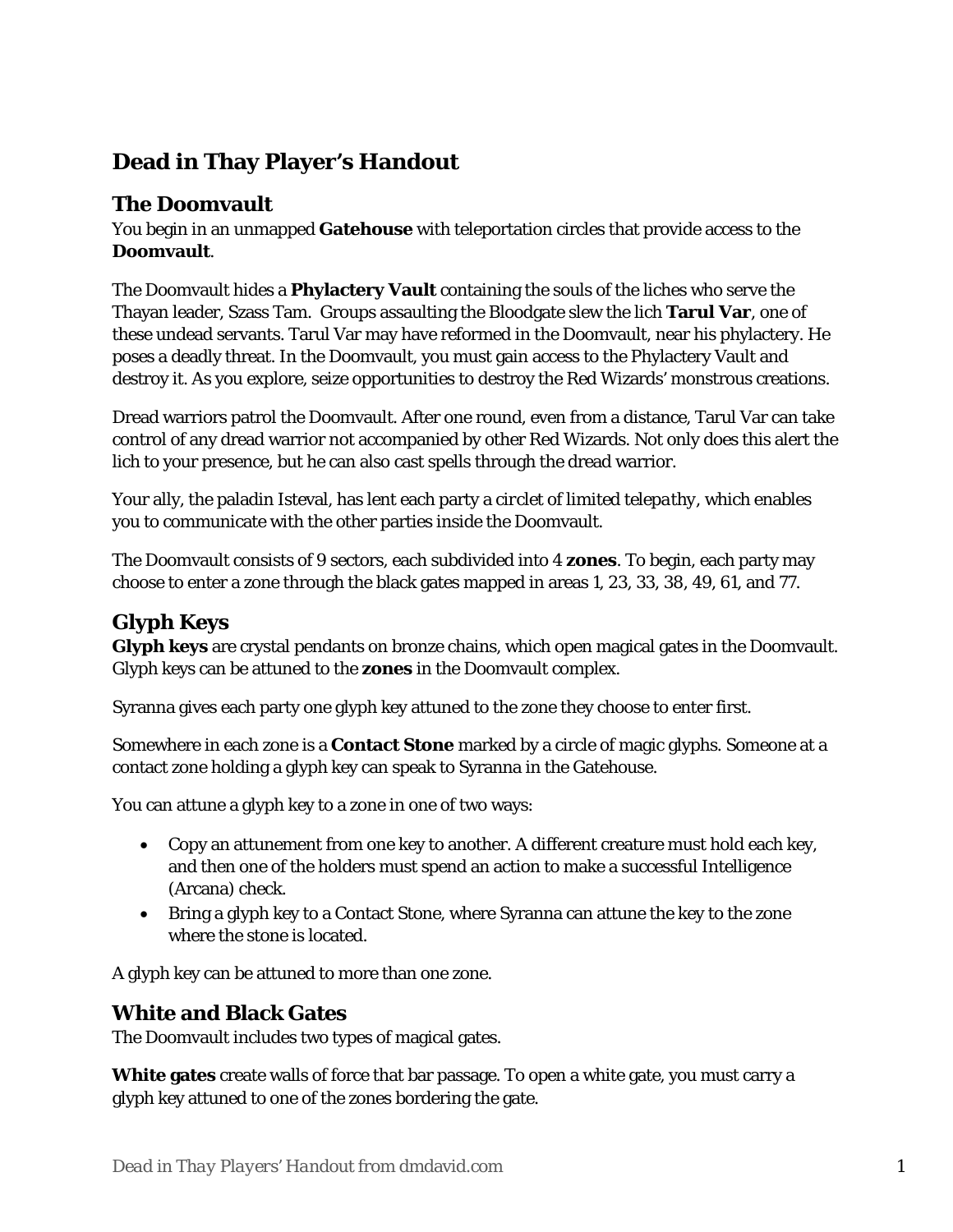# **Dead in Thay Player's Handout**

#### **The Doomvault**

You begin in an unmapped **Gatehouse** with teleportation circles that provide access to the **Doomvault**.

The Doomvault hides a **Phylactery Vault** containing the souls of the liches who serve the Thayan leader, Szass Tam. Groups assaulting the Bloodgate slew the lich **Tarul Var**, one of these undead servants. Tarul Var may have reformed in the Doomvault, near his phylactery. He poses a deadly threat. In the Doomvault, you must gain access to the Phylactery Vault and destroy it. As you explore, seize opportunities to destroy the Red Wizards' monstrous creations.

Dread warriors patrol the Doomvault. After one round, even from a distance, Tarul Var can take control of any dread warrior not accompanied by other Red Wizards. Not only does this alert the lich to your presence, but he can also cast spells through the dread warrior.

Your ally, the paladin Isteval, has lent each party a *circlet of limited telepathy*, which enables you to communicate with the other parties inside the Doomvault.

The Doomvault consists of 9 sectors, each subdivided into 4 **zones**. To begin, each party may choose to enter a zone through the black gates mapped in areas 1, 23, 33, 38, 49, 61, and 77.

### **Glyph Keys**

**Glyph keys** are crystal pendants on bronze chains, which open magical gates in the Doomvault. Glyph keys can be attuned to the **zones** in the Doomvault complex.

Syranna gives each party one glyph key attuned to the zone they choose to enter first.

Somewhere in each zone is a **Contact Stone** marked by a circle of magic glyphs. Someone at a contact zone holding a glyph key can speak to Syranna in the Gatehouse.

You can attune a glyph key to a zone in one of two ways:

- Copy an attunement from one key to another. A different creature must hold each key, and then one of the holders must spend an action to make a successful Intelligence (Arcana) check.
- Bring a glyph key to a Contact Stone, where Syranna can attune the key to the zone where the stone is located.

A glyph key can be attuned to more than one zone.

### **White and Black Gates**

The Doomvault includes two types of magical gates.

**White gates** create walls of force that bar passage. To open a white gate, you must carry a glyph key attuned to one of the zones bordering the gate.